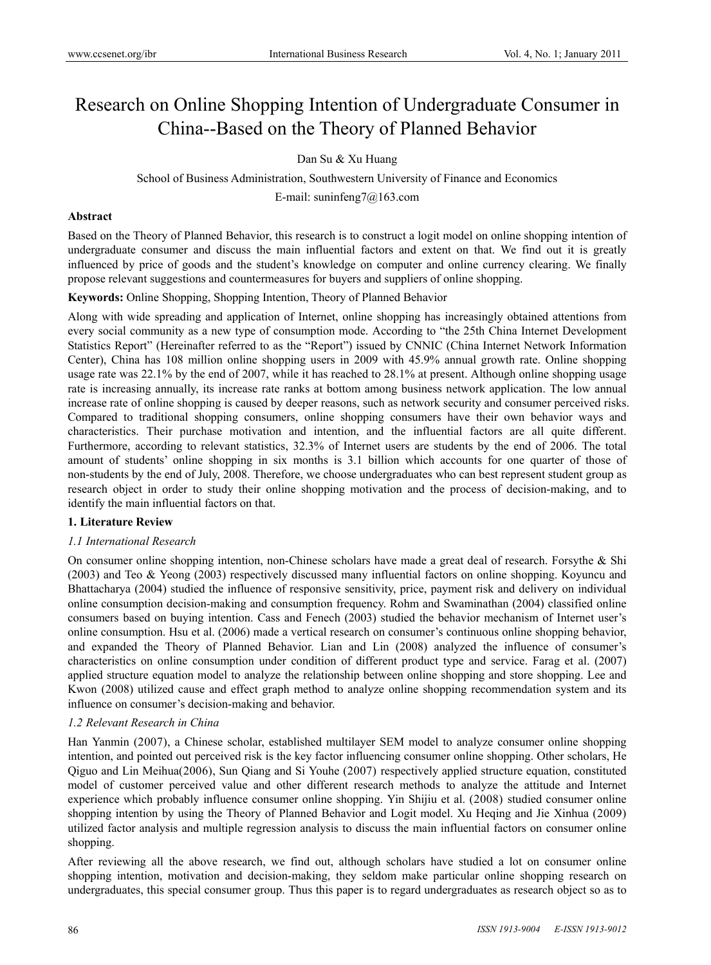# Research on Online Shopping Intention of Undergraduate Consumer in China--Based on the Theory of Planned Behavior

# Dan Su & Xu Huang

# School of Business Administration, Southwestern University of Finance and Economics

E-mail: suninfeng7@163.com

## **Abstract**

Based on the Theory of Planned Behavior, this research is to construct a logit model on online shopping intention of undergraduate consumer and discuss the main influential factors and extent on that. We find out it is greatly influenced by price of goods and the student's knowledge on computer and online currency clearing. We finally propose relevant suggestions and countermeasures for buyers and suppliers of online shopping.

## **Keywords:** Online Shopping, Shopping Intention, Theory of Planned Behavior

Along with wide spreading and application of Internet, online shopping has increasingly obtained attentions from every social community as a new type of consumption mode. According to "the 25th China Internet Development Statistics Report" (Hereinafter referred to as the "Report") issued by CNNIC (China Internet Network Information Center), China has 108 million online shopping users in 2009 with 45.9% annual growth rate. Online shopping usage rate was 22.1% by the end of 2007, while it has reached to 28.1% at present. Although online shopping usage rate is increasing annually, its increase rate ranks at bottom among business network application. The low annual increase rate of online shopping is caused by deeper reasons, such as network security and consumer perceived risks. Compared to traditional shopping consumers, online shopping consumers have their own behavior ways and characteristics. Their purchase motivation and intention, and the influential factors are all quite different. Furthermore, according to relevant statistics, 32.3% of Internet users are students by the end of 2006. The total amount of students' online shopping in six months is 3.1 billion which accounts for one quarter of those of non-students by the end of July, 2008. Therefore, we choose undergraduates who can best represent student group as research object in order to study their online shopping motivation and the process of decision-making, and to identify the main influential factors on that.

# **1. Literature Review**

## *1.1 International Research*

On consumer online shopping intention, non-Chinese scholars have made a great deal of research. Forsythe & Shi (2003) and Teo & Yeong (2003) respectively discussed many influential factors on online shopping. Koyuncu and Bhattacharya (2004) studied the influence of responsive sensitivity, price, payment risk and delivery on individual online consumption decision-making and consumption frequency. Rohm and Swaminathan (2004) classified online consumers based on buying intention. Cass and Fenech (2003) studied the behavior mechanism of Internet user's online consumption. Hsu et al. (2006) made a vertical research on consumer's continuous online shopping behavior, and expanded the Theory of Planned Behavior. Lian and Lin (2008) analyzed the influence of consumer's characteristics on online consumption under condition of different product type and service. Farag et al. (2007) applied structure equation model to analyze the relationship between online shopping and store shopping. Lee and Kwon (2008) utilized cause and effect graph method to analyze online shopping recommendation system and its influence on consumer's decision-making and behavior.

# *1.2 Relevant Research in China*

Han Yanmin (2007), a Chinese scholar, established multilayer SEM model to analyze consumer online shopping intention, and pointed out perceived risk is the key factor influencing consumer online shopping. Other scholars, He Qiguo and Lin Meihua(2006), Sun Qiang and Si Youhe (2007) respectively applied structure equation, constituted model of customer perceived value and other different research methods to analyze the attitude and Internet experience which probably influence consumer online shopping. Yin Shijiu et al. (2008) studied consumer online shopping intention by using the Theory of Planned Behavior and Logit model. Xu Heqing and Jie Xinhua (2009) utilized factor analysis and multiple regression analysis to discuss the main influential factors on consumer online shopping.

After reviewing all the above research, we find out, although scholars have studied a lot on consumer online shopping intention, motivation and decision-making, they seldom make particular online shopping research on undergraduates, this special consumer group. Thus this paper is to regard undergraduates as research object so as to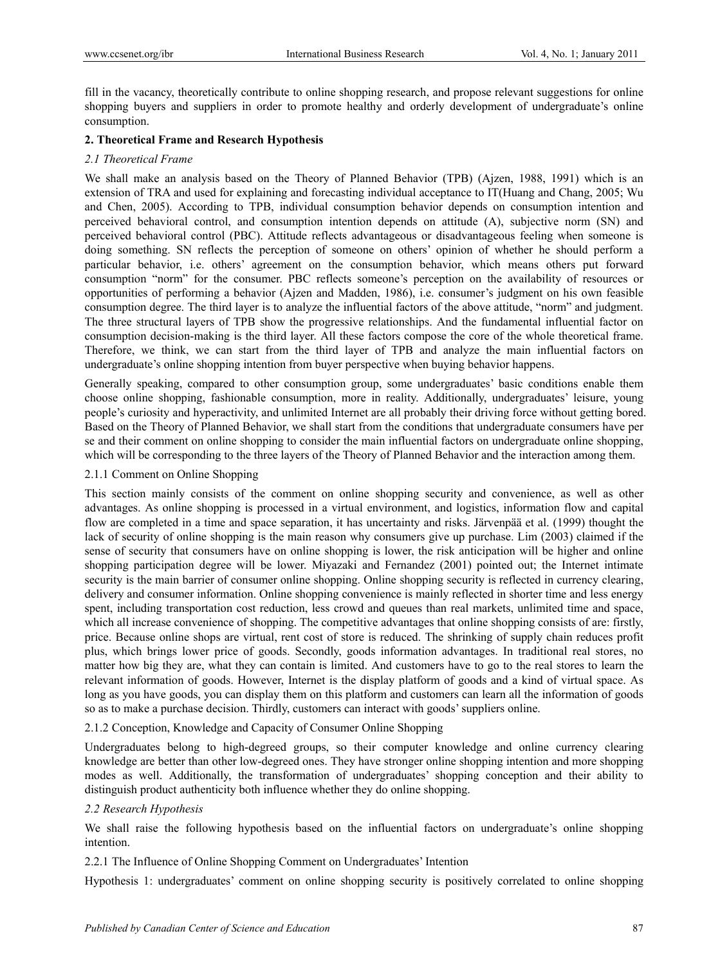fill in the vacancy, theoretically contribute to online shopping research, and propose relevant suggestions for online shopping buyers and suppliers in order to promote healthy and orderly development of undergraduate's online consumption.

# **2. Theoretical Frame and Research Hypothesis**

#### *2.1 Theoretical Frame*

We shall make an analysis based on the Theory of Planned Behavior (TPB) (Ajzen, 1988, 1991) which is an extension of TRA and used for explaining and forecasting individual acceptance to IT(Huang and Chang, 2005; Wu and Chen, 2005). According to TPB, individual consumption behavior depends on consumption intention and perceived behavioral control, and consumption intention depends on attitude (A), subjective norm (SN) and perceived behavioral control (PBC). Attitude reflects advantageous or disadvantageous feeling when someone is doing something. SN reflects the perception of someone on others' opinion of whether he should perform a particular behavior, i.e. others' agreement on the consumption behavior, which means others put forward consumption "norm" for the consumer. PBC reflects someone's perception on the availability of resources or opportunities of performing a behavior (Ajzen and Madden, 1986), i.e. consumer's judgment on his own feasible consumption degree. The third layer is to analyze the influential factors of the above attitude, "norm" and judgment. The three structural layers of TPB show the progressive relationships. And the fundamental influential factor on consumption decision-making is the third layer. All these factors compose the core of the whole theoretical frame. Therefore, we think, we can start from the third layer of TPB and analyze the main influential factors on undergraduate's online shopping intention from buyer perspective when buying behavior happens.

Generally speaking, compared to other consumption group, some undergraduates' basic conditions enable them choose online shopping, fashionable consumption, more in reality. Additionally, undergraduates' leisure, young people's curiosity and hyperactivity, and unlimited Internet are all probably their driving force without getting bored. Based on the Theory of Planned Behavior, we shall start from the conditions that undergraduate consumers have per se and their comment on online shopping to consider the main influential factors on undergraduate online shopping, which will be corresponding to the three layers of the Theory of Planned Behavior and the interaction among them.

#### 2.1.1 Comment on Online Shopping

This section mainly consists of the comment on online shopping security and convenience, as well as other advantages. As online shopping is processed in a virtual environment, and logistics, information flow and capital flow are completed in a time and space separation, it has uncertainty and risks. Järvenpää et al. (1999) thought the lack of security of online shopping is the main reason why consumers give up purchase. Lim (2003) claimed if the sense of security that consumers have on online shopping is lower, the risk anticipation will be higher and online shopping participation degree will be lower. Miyazaki and Fernandez (2001) pointed out; the Internet intimate security is the main barrier of consumer online shopping. Online shopping security is reflected in currency clearing, delivery and consumer information. Online shopping convenience is mainly reflected in shorter time and less energy spent, including transportation cost reduction, less crowd and queues than real markets, unlimited time and space, which all increase convenience of shopping. The competitive advantages that online shopping consists of are: firstly, price. Because online shops are virtual, rent cost of store is reduced. The shrinking of supply chain reduces profit plus, which brings lower price of goods. Secondly, goods information advantages. In traditional real stores, no matter how big they are, what they can contain is limited. And customers have to go to the real stores to learn the relevant information of goods. However, Internet is the display platform of goods and a kind of virtual space. As long as you have goods, you can display them on this platform and customers can learn all the information of goods so as to make a purchase decision. Thirdly, customers can interact with goods' suppliers online.

2.1.2 Conception, Knowledge and Capacity of Consumer Online Shopping

Undergraduates belong to high-degreed groups, so their computer knowledge and online currency clearing knowledge are better than other low-degreed ones. They have stronger online shopping intention and more shopping modes as well. Additionally, the transformation of undergraduates' shopping conception and their ability to distinguish product authenticity both influence whether they do online shopping.

## *2.2 Research Hypothesis*

We shall raise the following hypothesis based on the influential factors on undergraduate's online shopping intention.

2.2.1 The Influence of Online Shopping Comment on Undergraduates' Intention

Hypothesis 1: undergraduates' comment on online shopping security is positively correlated to online shopping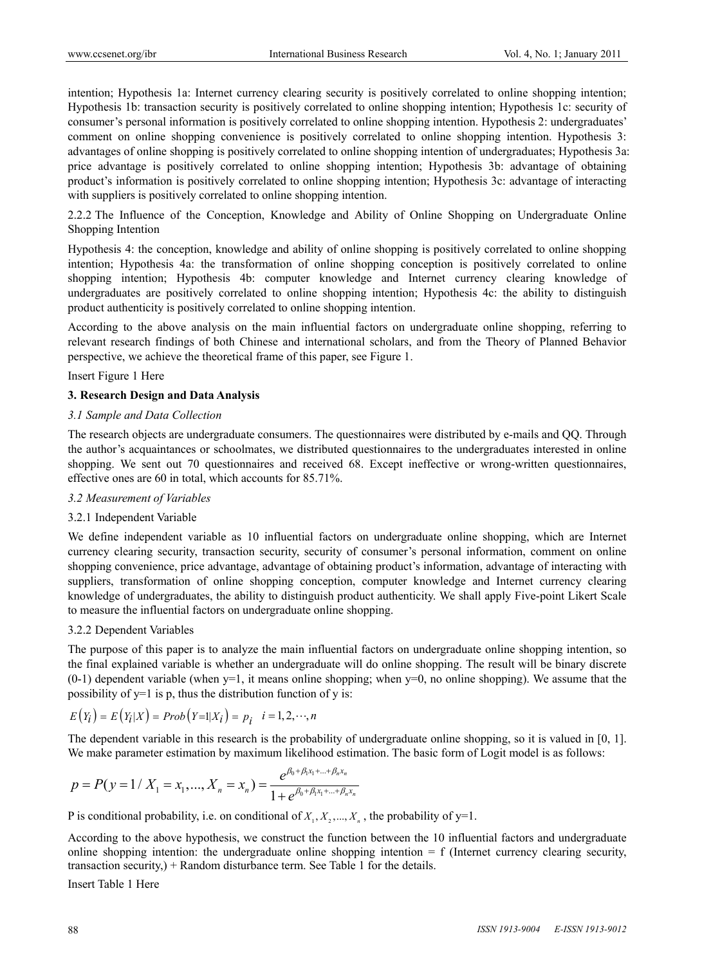intention; Hypothesis 1a: Internet currency clearing security is positively correlated to online shopping intention; Hypothesis 1b: transaction security is positively correlated to online shopping intention; Hypothesis 1c: security of consumer's personal information is positively correlated to online shopping intention. Hypothesis 2: undergraduates' comment on online shopping convenience is positively correlated to online shopping intention. Hypothesis 3: advantages of online shopping is positively correlated to online shopping intention of undergraduates; Hypothesis 3a: price advantage is positively correlated to online shopping intention; Hypothesis 3b: advantage of obtaining product's information is positively correlated to online shopping intention; Hypothesis 3c: advantage of interacting with suppliers is positively correlated to online shopping intention.

2.2.2 The Influence of the Conception, Knowledge and Ability of Online Shopping on Undergraduate Online Shopping Intention

Hypothesis 4: the conception, knowledge and ability of online shopping is positively correlated to online shopping intention; Hypothesis 4a: the transformation of online shopping conception is positively correlated to online shopping intention; Hypothesis 4b: computer knowledge and Internet currency clearing knowledge of undergraduates are positively correlated to online shopping intention; Hypothesis 4c: the ability to distinguish product authenticity is positively correlated to online shopping intention.

According to the above analysis on the main influential factors on undergraduate online shopping, referring to relevant research findings of both Chinese and international scholars, and from the Theory of Planned Behavior perspective, we achieve the theoretical frame of this paper, see Figure 1.

Insert Figure 1 Here

## **3. Research Design and Data Analysis**

#### *3.1 Sample and Data Collection*

The research objects are undergraduate consumers. The questionnaires were distributed by e-mails and QQ. Through the author's acquaintances or schoolmates, we distributed questionnaires to the undergraduates interested in online shopping. We sent out 70 questionnaires and received 68. Except ineffective or wrong-written questionnaires, effective ones are 60 in total, which accounts for 85.71%.

## *3.2 Measurement of Variables*

#### 3.2.1 Independent Variable

We define independent variable as 10 influential factors on undergraduate online shopping, which are Internet currency clearing security, transaction security, security of consumer's personal information, comment on online shopping convenience, price advantage, advantage of obtaining product's information, advantage of interacting with suppliers, transformation of online shopping conception, computer knowledge and Internet currency clearing knowledge of undergraduates, the ability to distinguish product authenticity. We shall apply Five-point Likert Scale to measure the influential factors on undergraduate online shopping.

#### 3.2.2 Dependent Variables

The purpose of this paper is to analyze the main influential factors on undergraduate online shopping intention, so the final explained variable is whether an undergraduate will do online shopping. The result will be binary discrete  $(0-1)$  dependent variable (when y=1, it means online shopping; when y=0, no online shopping). We assume that the possibility of  $y=1$  is p, thus the distribution function of y is:

$$
E(Y_i) = E(Y_i|X) = Prob(Y=1|X_i) = p_i \quad i = 1, 2, \cdots, n
$$

The dependent variable in this research is the probability of undergraduate online shopping, so it is valued in [0, 1]. We make parameter estimation by maximum likelihood estimation. The basic form of Logit model is as follows:

$$
p = P(y = 1 / X_1 = x_1, ..., X_n = x_n) = \frac{e^{\beta_0 + \beta_1 x_1 + ... + \beta_n x_n}}{1 + e^{\beta_0 + \beta_1 x_1 + ... + \beta_n x_n}}
$$

P is conditional probability, i.e. on conditional of  $X_1, X_2, ..., X_n$ , the probability of y=1.

According to the above hypothesis, we construct the function between the 10 influential factors and undergraduate online shopping intention: the undergraduate online shopping intention  $= f$  (Internet currency clearing security, transaction security,) + Random disturbance term. See Table 1 for the details.

Insert Table 1 Here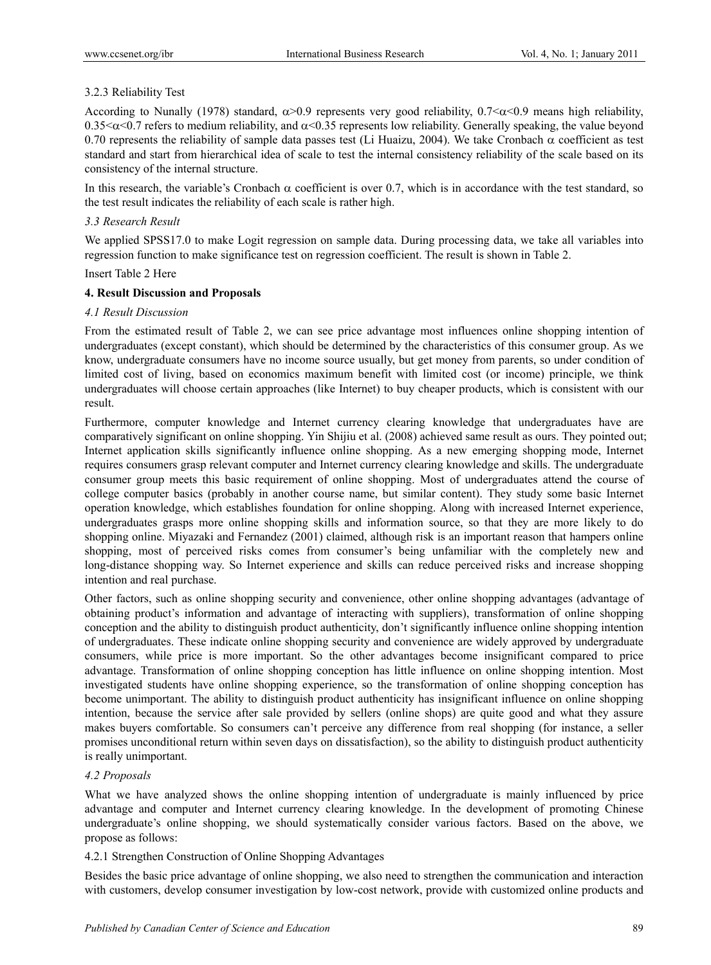# 3.2.3 Reliability Test

According to Nunally (1978) standard,  $\alpha$  >0.9 represents very good reliability, 0.7 <  $\alpha$  < 0.9 means high reliability,  $0.35<\alpha<0.7$  refers to medium reliability, and  $\alpha<0.35$  represents low reliability. Generally speaking, the value beyond 0.70 represents the reliability of sample data passes test (Li Huaizu, 2004). We take Cronbach  $\alpha$  coefficient as test standard and start from hierarchical idea of scale to test the internal consistency reliability of the scale based on its consistency of the internal structure.

In this research, the variable's Cronbach  $\alpha$  coefficient is over 0.7, which is in accordance with the test standard, so the test result indicates the reliability of each scale is rather high.

# *3.3 Research Result*

We applied SPSS17.0 to make Logit regression on sample data. During processing data, we take all variables into regression function to make significance test on regression coefficient. The result is shown in Table 2.

## Insert Table 2 Here

## **4. Result Discussion and Proposals**

#### *4.1 Result Discussion*

From the estimated result of Table 2, we can see price advantage most influences online shopping intention of undergraduates (except constant), which should be determined by the characteristics of this consumer group. As we know, undergraduate consumers have no income source usually, but get money from parents, so under condition of limited cost of living, based on economics maximum benefit with limited cost (or income) principle, we think undergraduates will choose certain approaches (like Internet) to buy cheaper products, which is consistent with our result.

Furthermore, computer knowledge and Internet currency clearing knowledge that undergraduates have are comparatively significant on online shopping. Yin Shijiu et al. (2008) achieved same result as ours. They pointed out; Internet application skills significantly influence online shopping. As a new emerging shopping mode, Internet requires consumers grasp relevant computer and Internet currency clearing knowledge and skills. The undergraduate consumer group meets this basic requirement of online shopping. Most of undergraduates attend the course of college computer basics (probably in another course name, but similar content). They study some basic Internet operation knowledge, which establishes foundation for online shopping. Along with increased Internet experience, undergraduates grasps more online shopping skills and information source, so that they are more likely to do shopping online. Miyazaki and Fernandez (2001) claimed, although risk is an important reason that hampers online shopping, most of perceived risks comes from consumer's being unfamiliar with the completely new and long-distance shopping way. So Internet experience and skills can reduce perceived risks and increase shopping intention and real purchase.

Other factors, such as online shopping security and convenience, other online shopping advantages (advantage of obtaining product's information and advantage of interacting with suppliers), transformation of online shopping conception and the ability to distinguish product authenticity, don't significantly influence online shopping intention of undergraduates. These indicate online shopping security and convenience are widely approved by undergraduate consumers, while price is more important. So the other advantages become insignificant compared to price advantage. Transformation of online shopping conception has little influence on online shopping intention. Most investigated students have online shopping experience, so the transformation of online shopping conception has become unimportant. The ability to distinguish product authenticity has insignificant influence on online shopping intention, because the service after sale provided by sellers (online shops) are quite good and what they assure makes buyers comfortable. So consumers can't perceive any difference from real shopping (for instance, a seller promises unconditional return within seven days on dissatisfaction), so the ability to distinguish product authenticity is really unimportant.

## *4.2 Proposals*

What we have analyzed shows the online shopping intention of undergraduate is mainly influenced by price advantage and computer and Internet currency clearing knowledge. In the development of promoting Chinese undergraduate's online shopping, we should systematically consider various factors. Based on the above, we propose as follows:

## 4.2.1 Strengthen Construction of Online Shopping Advantages

Besides the basic price advantage of online shopping, we also need to strengthen the communication and interaction with customers, develop consumer investigation by low-cost network, provide with customized online products and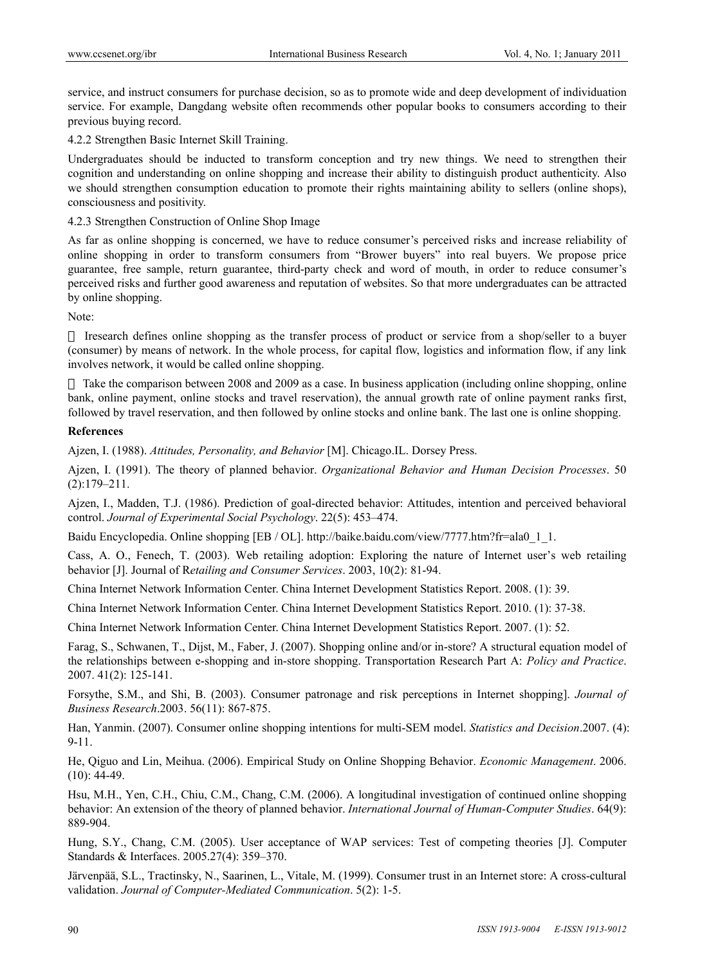service, and instruct consumers for purchase decision, so as to promote wide and deep development of individuation service. For example, Dangdang website often recommends other popular books to consumers according to their previous buying record.

4.2.2 Strengthen Basic Internet Skill Training.

Undergraduates should be inducted to transform conception and try new things. We need to strengthen their cognition and understanding on online shopping and increase their ability to distinguish product authenticity. Also we should strengthen consumption education to promote their rights maintaining ability to sellers (online shops), consciousness and positivity.

4.2.3 Strengthen Construction of Online Shop Image

As far as online shopping is concerned, we have to reduce consumer's perceived risks and increase reliability of online shopping in order to transform consumers from "Brower buyers" into real buyers. We propose price guarantee, free sample, return guarantee, third-party check and word of mouth, in order to reduce consumer's perceived risks and further good awareness and reputation of websites. So that more undergraduates can be attracted by online shopping.

Note:

 Iresearch defines online shopping as the transfer process of product or service from a shop/seller to a buyer (consumer) by means of network. In the whole process, for capital flow, logistics and information flow, if any link involves network, it would be called online shopping.

 Take the comparison between 2008 and 2009 as a case. In business application (including online shopping, online bank, online payment, online stocks and travel reservation), the annual growth rate of online payment ranks first, followed by travel reservation, and then followed by online stocks and online bank. The last one is online shopping.

#### **References**

Ajzen, I. (1988). *Attitudes, Personality, and Behavior* [M]. Chicago.IL. Dorsey Press.

Ajzen, I. (1991). The theory of planned behavior. *Organizational Behavior and Human Decision Processes*. 50 (2):179–211.

Ajzen, I., Madden, T.J. (1986). Prediction of goal-directed behavior: Attitudes, intention and perceived behavioral control. *Journal of Experimental Social Psychology*. 22(5): 453–474.

Baidu Encyclopedia. Online shopping [EB / OL]. http://baike.baidu.com/view/7777.htm?fr=ala0\_1\_1.

Cass, A. O., Fenech, T. (2003). Web retailing adoption: Exploring the nature of Internet user's web retailing behavior [J]. Journal of R*etailing and Consumer Services*. 2003, 10(2): 81-94.

China Internet Network Information Center. China Internet Development Statistics Report. 2008. (1): 39.

China Internet Network Information Center. China Internet Development Statistics Report. 2010. (1): 37-38.

China Internet Network Information Center. China Internet Development Statistics Report. 2007. (1): 52.

Farag, S., Schwanen, T., Dijst, M., Faber, J. (2007). Shopping online and/or in-store? A structural equation model of the relationships between e-shopping and in-store shopping. Transportation Research Part A: *Policy and Practice*. 2007. 41(2): 125-141.

Forsythe, S.M., and Shi, B. (2003). Consumer patronage and risk perceptions in Internet shopping]. *Journal of Business Research*.2003. 56(11): 867-875.

Han, Yanmin. (2007). Consumer online shopping intentions for multi-SEM model. *Statistics and Decision*.2007. (4): 9-11.

He, Qiguo and Lin, Meihua. (2006). Empirical Study on Online Shopping Behavior. *Economic Management*. 2006.  $(10): 44-49.$ 

Hsu, M.H., Yen, C.H., Chiu, C.M., Chang, C.M. (2006). A longitudinal investigation of continued online shopping behavior: An extension of the theory of planned behavior. *International Journal of Human-Computer Studies*. 64(9): 889-904.

Hung, S.Y., Chang, C.M. (2005). User acceptance of WAP services: Test of competing theories [J]. Computer Standards & Interfaces. 2005.27(4): 359–370.

Järvenpää, S.L., Tractinsky, N., Saarinen, L., Vitale, M. (1999). Consumer trust in an Internet store: A cross-cultural validation. *Journal of Computer-Mediated Communication*. 5(2): 1-5.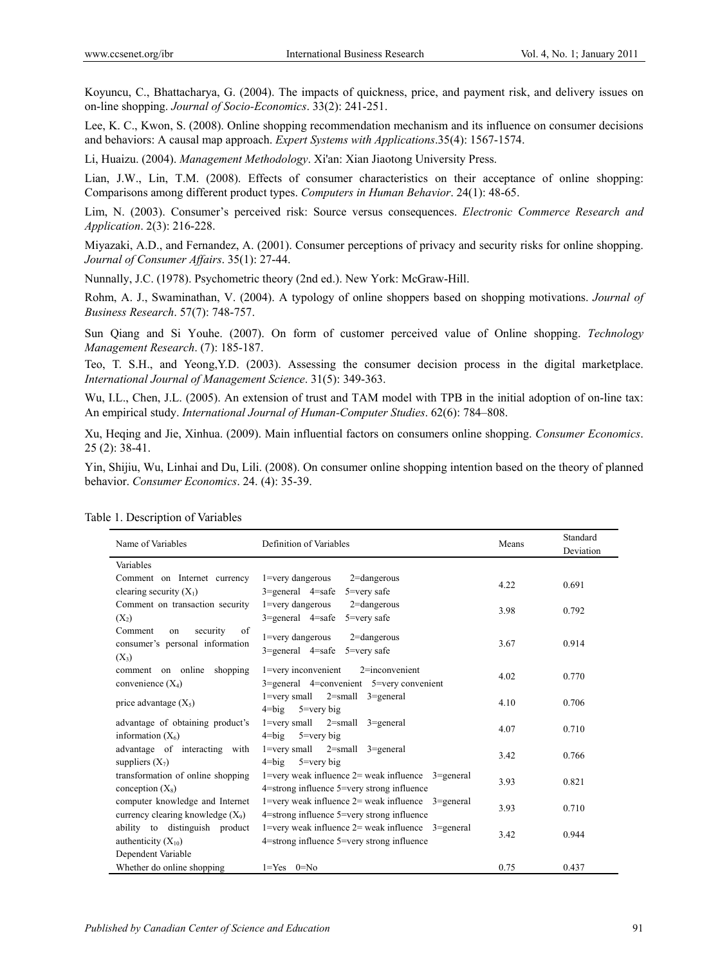Koyuncu, C., Bhattacharya, G. (2004). The impacts of quickness, price, and payment risk, and delivery issues on on-line shopping. *Journal of Socio-Economics*. 33(2): 241-251.

Lee, K. C., Kwon, S. (2008). Online shopping recommendation mechanism and its influence on consumer decisions and behaviors: A causal map approach. *Expert Systems with Applications*.35(4): 1567-1574.

Li, Huaizu. (2004). *Management Methodology*. Xi'an: Xian Jiaotong University Press.

Lian, J.W., Lin, T.M. (2008). Effects of consumer characteristics on their acceptance of online shopping: Comparisons among different product types. *Computers in Human Behavior*. 24(1): 48-65.

Lim, N. (2003). Consumer's perceived risk: Source versus consequences. *Electronic Commerce Research and Application*. 2(3): 216-228.

Miyazaki, A.D., and Fernandez, A. (2001). Consumer perceptions of privacy and security risks for online shopping. *Journal of Consumer Affairs*. 35(1): 27-44.

Nunnally, J.C. (1978). Psychometric theory (2nd ed.). New York: McGraw-Hill.

Rohm, A. J., Swaminathan, V. (2004). A typology of online shoppers based on shopping motivations. *Journal of Business Research*. 57(7): 748-757.

Sun Qiang and Si Youhe. (2007). On form of customer perceived value of Online shopping. *Technology Management Research*. (7): 185-187.

Teo, T. S.H., and Yeong,Y.D. (2003). Assessing the consumer decision process in the digital marketplace. *International Journal of Management Science*. 31(5): 349-363.

Wu, I.L., Chen, J.L. (2005). An extension of trust and TAM model with TPB in the initial adoption of on-line tax: An empirical study. *International Journal of Human-Computer Studies*. 62(6): 784–808.

Xu, Heqing and Jie, Xinhua. (2009). Main influential factors on consumers online shopping. *Consumer Economics*. 25 (2): 38-41.

Yin, Shijiu, Wu, Linhai and Du, Lili. (2008). On consumer online shopping intention based on the theory of planned behavior. *Consumer Economics*. 24. (4): 35-39.

| Name of Variables                                                             | Definition of Variables                                                                                                       | Means | Standard<br>Deviation |
|-------------------------------------------------------------------------------|-------------------------------------------------------------------------------------------------------------------------------|-------|-----------------------|
| Variables                                                                     |                                                                                                                               |       |                       |
| Comment on Internet currency<br>clearing security $(X_1)$                     | 1=very dangerous<br>$2$ =dangerous<br>$3 =$ general $4 =$ safe<br>5=very safe                                                 | 4.22  | 0.691                 |
| Comment on transaction security<br>$(X_2)$                                    | 1=very dangerous<br>$2$ =dangerous<br>$3 =$ general $4 =$ safe<br>5=very safe                                                 | 3.98  | 0.792                 |
| of<br>Comment<br>security<br>on<br>consumer's personal information<br>$(X_3)$ | 1=very dangerous<br>$2$ =dangerous<br>$3 =$ general $4 =$ safe $5 =$ very safe                                                | 3.67  | 0.914                 |
| comment on online<br>shopping<br>convenience $(X_4)$                          | $2$ =inconvenient<br>1=very inconvenient<br>3=general 4=convenient 5=very convenient                                          | 4.02  | 0.770                 |
| price advantage $(X_5)$                                                       | $1 = \text{very small}$ $2 = \text{small}$ $3 = \text{general}$<br>$4 = big$<br>$5 =$ very big                                | 4.10  | 0.706                 |
| advantage of obtaining product's<br>information $(X_6)$                       | $1 = \text{very small}$ 2=small 3=general<br>$4 = big$<br>$5 =$ very big                                                      | 4.07  | 0.710                 |
| advantage of interacting with<br>suppliers $(X_7)$                            | $1 = \text{very small}$ 2=small 3=general<br>$4 = big$<br>$5 = \text{very big}$                                               | 3.42  | 0.766                 |
| transformation of online shopping<br>conception $(X_8)$                       | $1 = \text{very weak influence } 2 = \text{weak influence } 3 = \text{general}$<br>4=strong influence 5=very strong influence | 3.93  | 0.821                 |
| computer knowledge and Internet<br>currency clearing knowledge $(X_9)$        | $1$ =very weak influence $2$ = weak influence $3$ =general<br>4=strong influence 5=very strong influence                      | 3.93  | 0.710                 |
| ability to distinguish product<br>authenticity $(X_{10})$                     | $1 = \text{very weak influence } 2 = \text{weak influence } 3 = \text{general}$<br>4=strong influence 5=very strong influence | 3.42  | 0.944                 |
| Dependent Variable                                                            |                                                                                                                               |       |                       |
| Whether do online shopping                                                    | $1 = Yes$ $0 = No$                                                                                                            | 0.75  | 0.437                 |

Table 1. Description of Variables